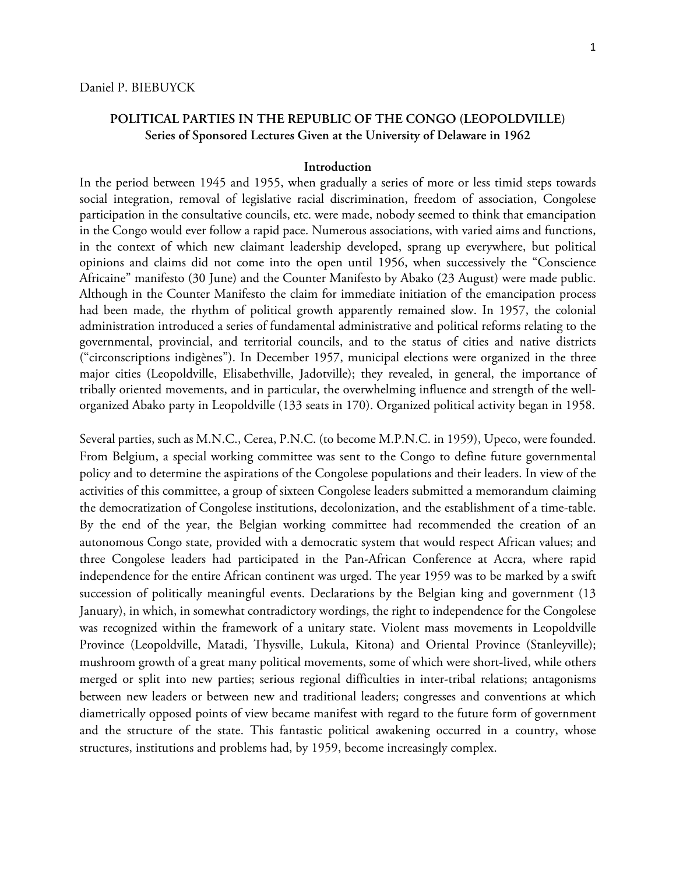## **POLITICAL PARTIES IN THE REPUBLIC OF THE CONGO (LEOPOLDVILLE) Series of Sponsored Lectures Given at the University of Delaware in 1962**

## **Introduction**

In the period between 1945 and 1955, when gradually a series of more or less timid steps towards social integration, removal of legislative racial discrimination, freedom of association, Congolese participation in the consultative councils, etc. were made, nobody seemed to think that emancipation in the Congo would ever follow a rapid pace. Numerous associations, with varied aims and functions, in the context of which new claimant leadership developed, sprang up everywhere, but political opinions and claims did not come into the open until 1956, when successively the "Conscience Africaine" manifesto (30 June) and the Counter Manifesto by Abako (23 August) were made public. Although in the Counter Manifesto the claim for immediate initiation of the emancipation process had been made, the rhythm of political growth apparently remained slow. In 1957, the colonial administration introduced a series of fundamental administrative and political reforms relating to the governmental, provincial, and territorial councils, and to the status of cities and native districts ("circonscriptions indigènes"). In December 1957, municipal elections were organized in the three major cities (Leopoldville, Elisabethville, Jadotville); they revealed, in general, the importance of tribally oriented movements, and in particular, the overwhelming influence and strength of the wellorganized Abako party in Leopoldville (133 seats in 170). Organized political activity began in 1958.

Several parties, such as M.N.C., Cerea, P.N.C. (to become M.P.N.C. in 1959), Upeco, were founded. From Belgium, a special working committee was sent to the Congo to define future governmental policy and to determine the aspirations of the Congolese populations and their leaders. In view of the activities of this committee, a group of sixteen Congolese leaders submitted a memorandum claiming the democratization of Congolese institutions, decolonization, and the establishment of a time-table. By the end of the year, the Belgian working committee had recommended the creation of an autonomous Congo state, provided with a democratic system that would respect African values; and three Congolese leaders had participated in the Pan-African Conference at Accra, where rapid independence for the entire African continent was urged. The year 1959 was to be marked by a swift succession of politically meaningful events. Declarations by the Belgian king and government (13 January), in which, in somewhat contradictory wordings, the right to independence for the Congolese was recognized within the framework of a unitary state. Violent mass movements in Leopoldville Province (Leopoldville, Matadi, Thysville, Lukula, Kitona) and Oriental Province (Stanleyville); mushroom growth of a great many political movements, some of which were short-lived, while others merged or split into new parties; serious regional difficulties in inter-tribal relations; antagonisms between new leaders or between new and traditional leaders; congresses and conventions at which diametrically opposed points of view became manifest with regard to the future form of government and the structure of the state. This fantastic political awakening occurred in a country, whose structures, institutions and problems had, by 1959, become increasingly complex.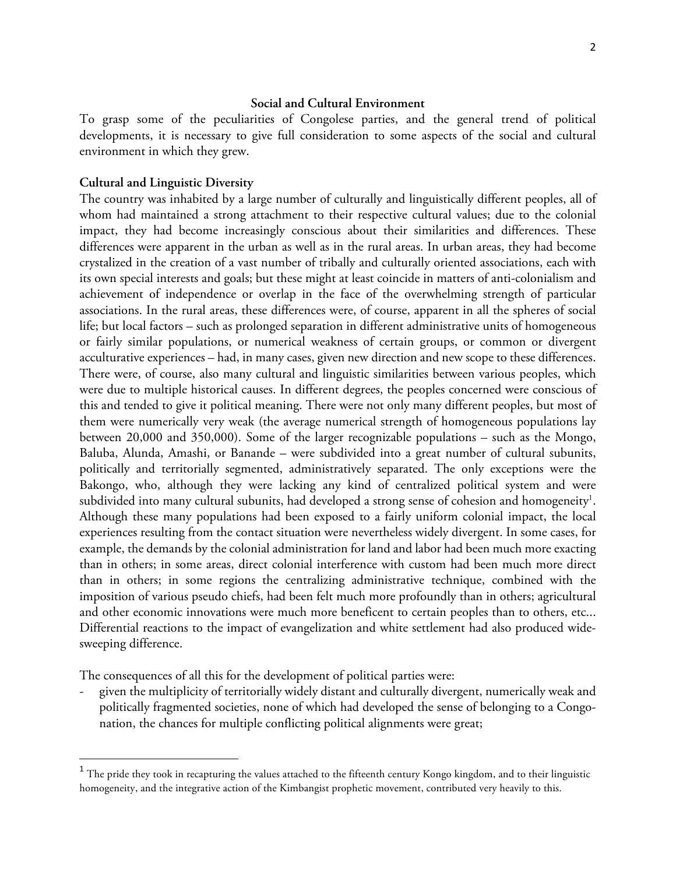## **Social and Cultural Environment**

To grasp some of the peculiarities of Congolese parties, and the general trend of political developments, it is necessary to give full consideration to some aspects of the social and cultural environment in which they grew.

### **Cultural and Linguistic Diversity**

 

The country was inhabited by a large number of culturally and linguistically different peoples, all of whom had maintained a strong attachment to their respective cultural values; due to the colonial impact, they had become increasingly conscious about their similarities and differences. These differences were apparent in the urban as well as in the rural areas. In urban areas, they had become crystalized in the creation of a vast number of tribally and culturally oriented associations, each with its own special interests and goals; but these might at least coincide in matters of anti-colonialism and achievement of independence or overlap in the face of the overwhelming strength of particular associations. In the rural areas, these differences were, of course, apparent in all the spheres of social life; but local factors – such as prolonged separation in different administrative units of homogeneous or fairly similar populations, or numerical weakness of certain groups, or common or divergent acculturative experiences – had, in many cases, given new direction and new scope to these differences. There were, of course, also many cultural and linguistic similarities between various peoples, which were due to multiple historical causes. In different degrees, the peoples concerned were conscious of this and tended to give it political meaning. There were not only many different peoples, but most of them were numerically very weak (the average numerical strength of homogeneous populations lay between 20,000 and 350,000). Some of the larger recognizable populations – such as the Mongo, Baluba, Alunda, Amashi, or Banande – were subdivided into a great number of cultural subunits, politically and territorially segmented, administratively separated. The only exceptions were the Bakongo, who, although they were lacking any kind of centralized political system and were subdivided into many cultural subunits, had developed a strong sense of cohesion and homogeneity $^{\rm l}$ . Although these many populations had been exposed to a fairly uniform colonial impact, the local experiences resulting from the contact situation were nevertheless widely divergent. In some cases, for example, the demands by the colonial administration for land and labor had been much more exacting than in others; in some areas, direct colonial interference with custom had been much more direct than in others; in some regions the centralizing administrative technique, combined with the imposition of various pseudo chiefs, had been felt much more profoundly than in others; agricultural and other economic innovations were much more beneficent to certain peoples than to others, etc... Differential reactions to the impact of evangelization and white settlement had also produced widesweeping difference.

The consequences of all this for the development of political parties were:

- given the multiplicity of territorially widely distant and culturally divergent, numerically weak and politically fragmented societies, none of which had developed the sense of belonging to a Congonation, the chances for multiple conflicting political alignments were great;

 $^{\rm 1}$  The pride they took in recapturing the values attached to the fifteenth century Kongo kingdom, and to their linguistic homogeneity, and the integrative action of the Kimbangist prophetic movement, contributed very heavily to this.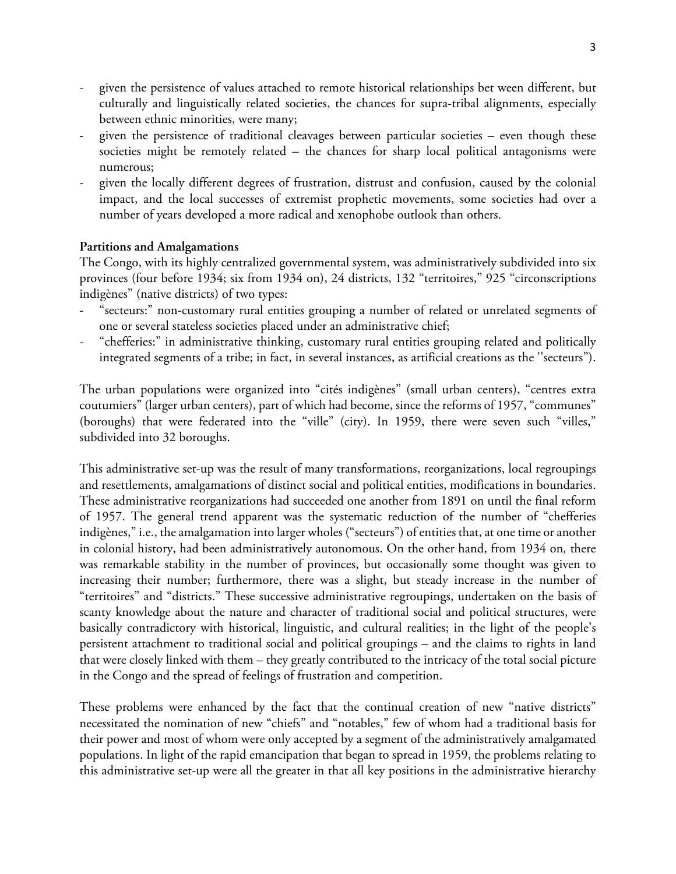- given the persistence of values attached to remote historical relationships bet ween different, but culturally and linguistically related societies, the chances for supra-tribal alignments, especially between ethnic minorities, were many;
- given the persistence of traditional cleavages between particular societies even though these societies might be remotely related – the chances for sharp local political antagonisms were numerous;
- given the locally different degrees of frustration, distrust and confusion, caused by the colonial impact, and the local successes of extremist prophetic movements, some societies had over a number of years developed a more radical and xenophobe outlook than others.

# **Partitions and Amalgamations**

The Congo, with its highly centralized governmental system, was administratively subdivided into six provinces (four before 1934; six from 1934 on), 24 districts, 132 "territoires," 925 "circonscriptions indigènes" (native districts) of two types:

- "secteurs:" non-customary rural entities grouping a number of related or unrelated segments of one or several stateless societies placed under an administrative chief;
- "chefferies:" in administrative thinking, customary rural entities grouping related and politically integrated segments of a tribe; in fact, in several instances, as artificial creations as the ''secteurs").

The urban populations were organized into "cités indigènes" (small urban centers), "centres extra coutumiers" (larger urban centers), part of which had become, since the reforms of 1957, "communes" (boroughs) that were federated into the "ville" (city). In 1959, there were seven such "villes," subdivided into 32 boroughs.

This administrative set-up was the result of many transformations, reorganizations, local regroupings and resettlements, amalgamations of distinct social and political entities, modifications in boundaries. These administrative reorganizations had succeeded one another from 1891 on until the final reform of 1957. The general trend apparent was the systematic reduction of the number of "chefferies indigènes," i.e., the amalgamation into larger wholes ("secteurs") of entities that, at one time or another in colonial history, had been administratively autonomous. On the other hand, from 1934 on*,* there was remarkable stability in the number of provinces, but occasionally some thought was given to increasing their number; furthermore, there was a slight, but steady increase in the number of "territoires" and "districts." These successive administrative regroupings, undertaken on the basis of scanty knowledge about the nature and character of traditional social and political structures, were basically contradictory with historical, linguistic, and cultural realities; in the light of the people's persistent attachment to traditional social and political groupings – and the claims to rights in land that were closely linked with them – they greatly contributed to the intricacy of the total social picture in the Congo and the spread of feelings of frustration and competition.

These problems were enhanced by the fact that the continual creation of new "native districts" necessitated the nomination of new "chiefs" and "notables," few of whom had a traditional basis for their power and most of whom were only accepted by a segment of the administratively amalgamated populations. In light of the rapid emancipation that began to spread in 1959, the problems relating to this administrative set-up were all the greater in that all key positions in the administrative hierarchy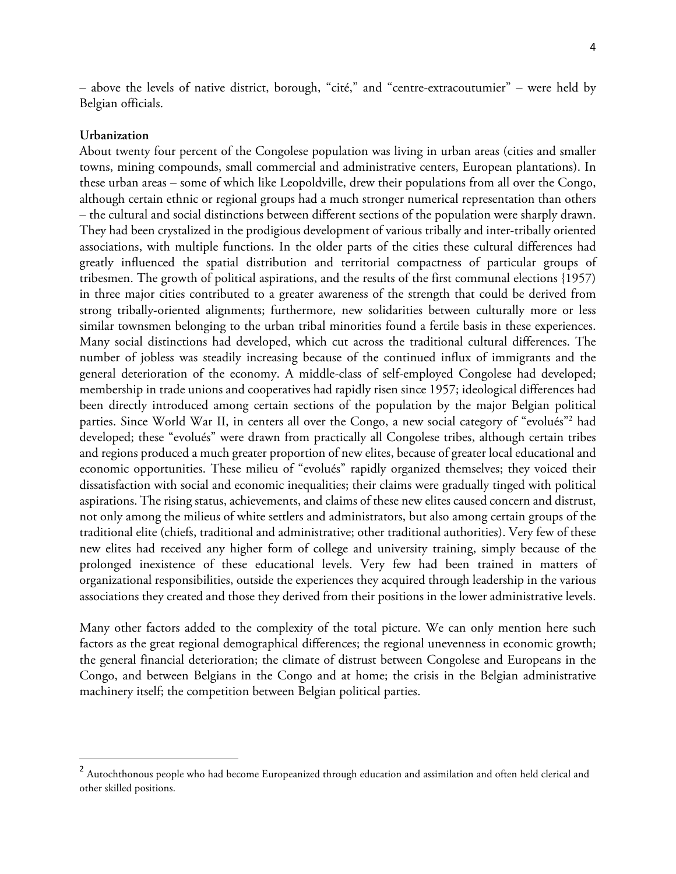– above the levels of native district, borough, "cité," and "centre-extracoutumier" – were held by Belgian officials.

### **Urbanization**

 

About twenty four percent of the Congolese population was living in urban areas (cities and smaller towns, mining compounds, small commercial and administrative centers, European plantations). In these urban areas – some of which like Leopoldville, drew their populations from all over the Congo, although certain ethnic or regional groups had a much stronger numerical representation than others – the cultural and social distinctions between different sections of the population were sharply drawn. They had been crystalized in the prodigious development of various tribally and inter-tribally oriented associations, with multiple functions. In the older parts of the cities these cultural differences had greatly influenced the spatial distribution and territorial compactness of particular groups of tribesmen. The growth of political aspirations, and the results of the first communal elections {1957) in three major cities contributed to a greater awareness of the strength that could be derived from strong tribally-oriented alignments; furthermore, new solidarities between culturally more or less similar townsmen belonging to the urban tribal minorities found a fertile basis in these experiences. Many social distinctions had developed, which cut across the traditional cultural differences. The number of jobless was steadily increasing because of the continued influx of immigrants and the general deterioration of the economy. A middle-class of self-employed Congolese had developed; membership in trade unions and cooperatives had rapidly risen since 1957; ideological differences had been directly introduced among certain sections of the population by the major Belgian political parties. Since World War II, in centers all over the Congo, a new social category of "evolués"<sup>2</sup> had developed; these "evolués" were drawn from practically all Congolese tribes, although certain tribes and regions produced a much greater proportion of new elites, because of greater local educational and economic opportunities. These milieu of "evolués" rapidly organized themselves; they voiced their dissatisfaction with social and economic inequalities; their claims were gradually tinged with political aspirations. The rising status, achievements, and claims of these new elites caused concern and distrust, not only among the milieus of white settlers and administrators, but also among certain groups of the traditional elite (chiefs, traditional and administrative; other traditional authorities). Very few of these new elites had received any higher form of college and university training, simply because of the prolonged inexistence of these educational levels. Very few had been trained in matters of organizational responsibilities, outside the experiences they acquired through leadership in the various associations they created and those they derived from their positions in the lower administrative levels.

Many other factors added to the complexity of the total picture. We can only mention here such factors as the great regional demographical differences; the regional unevenness in economic growth; the general financial deterioration; the climate of distrust between Congolese and Europeans in the Congo, and between Belgians in the Congo and at home; the crisis in the Belgian administrative machinery itself; the competition between Belgian political parties.

 $^2$  Autochthonous people who had become Europeanized through education and assimilation and often held clerical and other skilled positions.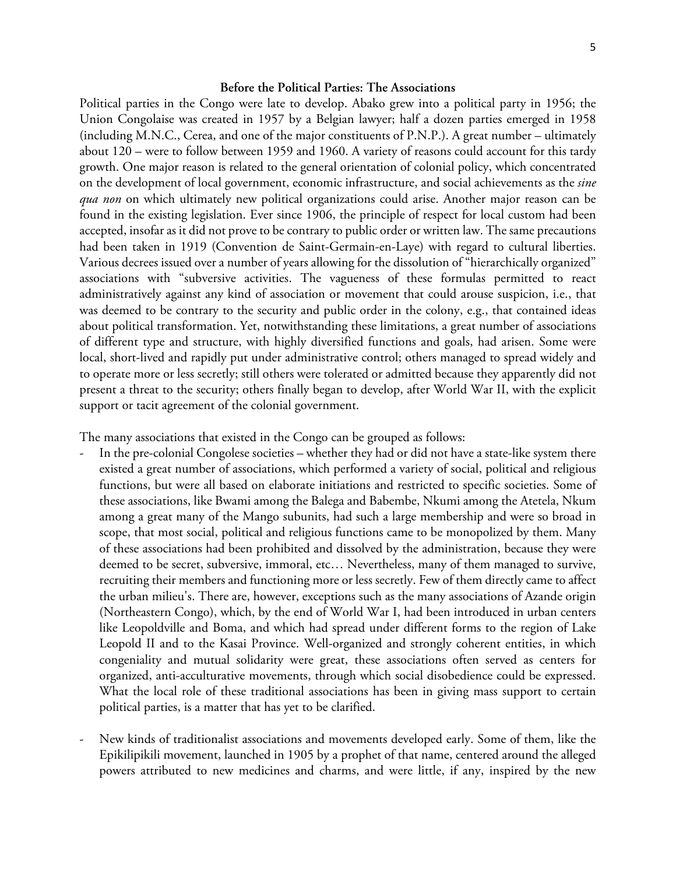### **Before the Political Parties: The Associations**

Political parties in the Congo were late to develop. Abako grew into a political party in 1956; the Union Congolaise was created in 1957 by a Belgian lawyer; half a dozen parties emerged in 1958 (including M.N.C., Cerea, and one of the major constituents of P.N.P.). A great number – ultimately about 120 – were to follow between 1959 and 1960. A variety of reasons could account for this tardy growth. One major reason is related to the general orientation of colonial policy, which concentrated on the development of local government, economic infrastructure, and social achievements as the *sine qua non* on which ultimately new political organizations could arise. Another major reason can be found in the existing legislation. Ever since 1906, the principle of respect for local custom had been accepted, insofar as it did not prove to be contrary to public order or written law. The same precautions had been taken in 1919 (Convention de Saint-Germain-en-Laye) with regard to cultural liberties. Various decrees issued over a number of years allowing for the dissolution of "hierarchically organized" associations with "subversive activities. The vagueness of these formulas permitted to react administratively against any kind of association or movement that could arouse suspicion, i.e., that was deemed to be contrary to the security and public order in the colony, e.g., that contained ideas about political transformation. Yet, notwithstanding these limitations, a great number of associations of different type and structure, with highly diversified functions and goals, had arisen. Some were local, short-lived and rapidly put under administrative control; others managed to spread widely and to operate more or less secretly; still others were tolerated or admitted because they apparently did not present a threat to the security; others finally began to develop, after World War II, with the explicit support or tacit agreement of the colonial government.

The many associations that existed in the Congo can be grouped as follows:

- In the pre-colonial Congolese societies whether they had or did not have a state-like system there existed a great number of associations, which performed a variety of social, political and religious functions, but were all based on elaborate initiations and restricted to specific societies. Some of these associations, like Bwami among the Balega and Babembe, Nkumi among the Atetela, Nkum among a great many of the Mango subunits, had such a large membership and were so broad in scope, that most social, political and religious functions came to be monopolized by them. Many of these associations had been prohibited and dissolved by the administration, because they were deemed to be secret, subversive, immoral, etc… Nevertheless, many of them managed to survive, recruiting their members and functioning more or less secretly. Few of them directly came to affect the urban milieu's. There are, however, exceptions such as the many associations of Azande origin (Northeastern Congo), which, by the end of World War I, had been introduced in urban centers like Leopoldville and Boma, and which had spread under different forms to the region of Lake Leopold II and to the Kasai Province. Well-organized and strongly coherent entities, in which congeniality and mutual solidarity were great, these associations often served as centers for organized, anti-acculturative movements, through which social disobedience could be expressed. What the local role of these traditional associations has been in giving mass support to certain political parties, is a matter that has yet to be clarified.
- New kinds of traditionalist associations and movements developed early. Some of them, like the Epikilipikili movement, launched in 1905 by a prophet of that name, centered around the alleged powers attributed to new medicines and charms, and were little, if any, inspired by the new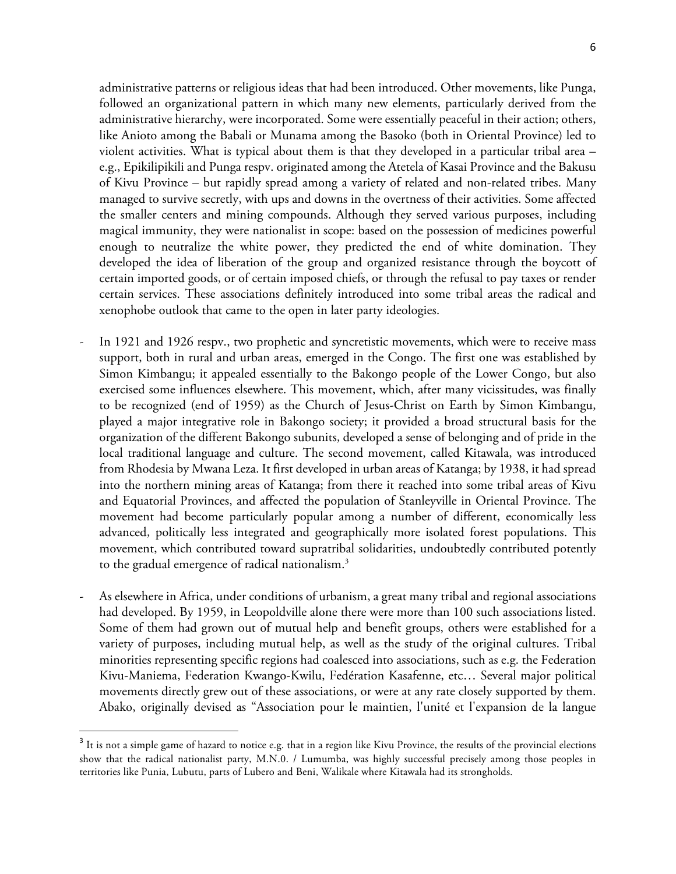administrative patterns or religious ideas that had been introduced. Other movements, like Punga, followed an organizational pattern in which many new elements, particularly derived from the administrative hierarchy, were incorporated. Some were essentially peaceful in their action; others, like Anioto among the Babali or Munama among the Basoko (both in Oriental Province) led to violent activities. What is typical about them is that they developed in a particular tribal area – e.g., Epikilipikili and Punga respv. originated among the Atetela of Kasai Province and the Bakusu of Kivu Province – but rapidly spread among a variety of related and non-related tribes. Many managed to survive secretly, with ups and downs in the overtness of their activities. Some affected the smaller centers and mining compounds. Although they served various purposes, including magical immunity, they were nationalist in scope: based on the possession of medicines powerful enough to neutralize the white power, they predicted the end of white domination. They developed the idea of liberation of the group and organized resistance through the boycott of certain imported goods, or of certain imposed chiefs, or through the refusal to pay taxes or render certain services. These associations definitely introduced into some tribal areas the radical and xenophobe outlook that came to the open in later party ideologies.

- In 1921 and 1926 respv., two prophetic and syncretistic movements, which were to receive mass support, both in rural and urban areas, emerged in the Congo. The first one was established by Simon Kimbangu; it appealed essentially to the Bakongo people of the Lower Congo, but also exercised some influences elsewhere. This movement, which, after many vicissitudes, was finally to be recognized (end of 1959) as the Church of Jesus-Christ on Earth by Simon Kimbangu, played a major integrative role in Bakongo society; it provided a broad structural basis for the organization of the different Bakongo subunits, developed a sense of belonging and of pride in the local traditional language and culture. The second movement, called Kitawala, was introduced from Rhodesia by Mwana Leza. It first developed in urban areas of Katanga; by 1938, it had spread into the northern mining areas of Katanga; from there it reached into some tribal areas of Kivu and Equatorial Provinces, and affected the population of Stanleyville in Oriental Province. The movement had become particularly popular among a number of different, economically less advanced, politically less integrated and geographically more isolated forest populations. This movement, which contributed toward supratribal solidarities, undoubtedly contributed potently to the gradual emergence of radical nationalism. 3
- As elsewhere in Africa, under conditions of urbanism, a great many tribal and regional associations had developed. By 1959, in Leopoldville alone there were more than 100 such associations listed. Some of them had grown out of mutual help and benefit groups, others were established for a variety of purposes, including mutual help, as well as the study of the original cultures. Tribal minorities representing specific regions had coalesced into associations, such as e.g. the Federation Kivu-Maniema, Federation Kwango-Kwilu, Fedération Kasafenne, etc… Several major political movements directly grew out of these associations, or were at any rate closely supported by them. Abako, originally devised as "Association pour le maintien, l'unité et l'expansion de la langue

<u> 1989 - Johann Barn, mars ann an t-Amhain an t-Amhain an t-Amhain an t-Amhain an t-Amhain an t-Amhain an t-Amh</u>

<sup>&</sup>lt;sup>3</sup> It is not a simple game of hazard to notice e.g. that in a region like Kivu Province, the results of the provincial elections show that the radical nationalist party, M.N.0. / Lumumba, was highly successful precisely among those peoples in territories like Punia, Lubutu, parts of Lubero and Beni, Walikale where Kitawala had its strongholds.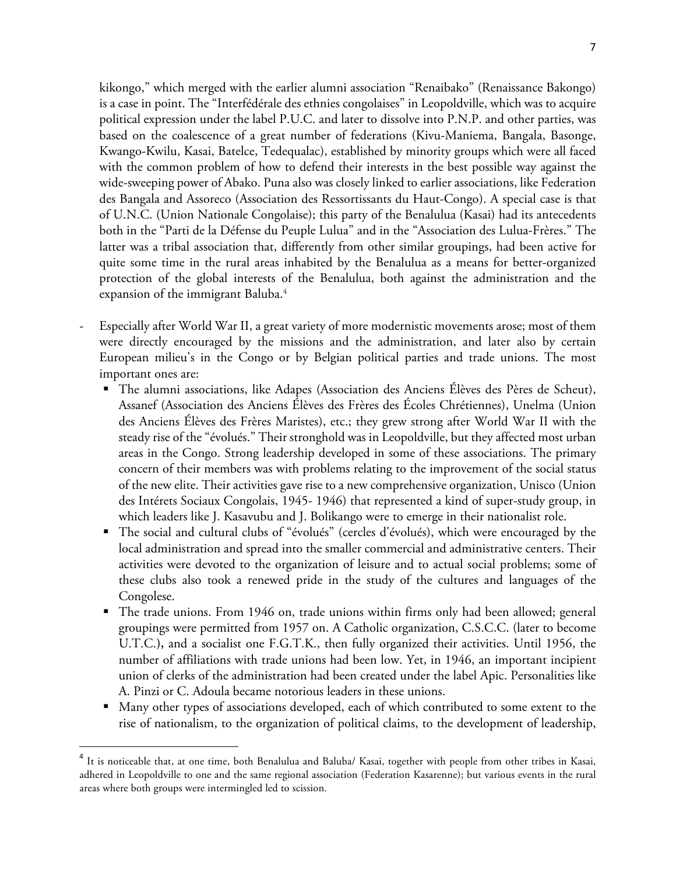kikongo," which merged with the earlier alumni association "Renaibako" (Renaissance Bakongo) is a case in point. The "Interfédérale des ethnies congolaises" in Leopoldville, which was to acquire political expression under the label P.U.C. and later to dissolve into P.N.P. and other parties, was based on the coalescence of a great number of federations (Kivu-Maniema, Bangala, Basonge, Kwango-Kwilu, Kasai, Batelce, Tedequalac), established by minority groups which were all faced with the common problem of how to defend their interests in the best possible way against the wide-sweeping power of Abako. Puna also was closely linked to earlier associations, like Federation des Bangala and Assoreco (Association des Ressortissants du Haut-Congo). A special case is that of U.N.C. (Union Nationale Congolaise); this party of the Benalulua (Kasai) had its antecedents both in the "Parti de la Défense du Peuple Lulua" and in the "Association des Lulua-Frères." The latter was a tribal association that, differently from other similar groupings, had been active for quite some time in the rural areas inhabited by the Benalulua as a means for better-organized protection of the global interests of the Benalulua, both against the administration and the expansion of the immigrant Baluba. 4

- Especially after World War II, a great variety of more modernistic movements arose; most of them were directly encouraged by the missions and the administration, and later also by certain European milieu's in the Congo or by Belgian political parties and trade unions. The most important ones are:
	- The alumni associations, like Adapes (Association des Anciens Élèves des Pères de Scheut), Assanef (Association des Anciens Élèves des Frères des Écoles Chrétiennes), Unelma (Union des Anciens Élèves des Frères Maristes), etc.; they grew strong after World War II with the steady rise of the "évolués." Their stronghold was in Leopoldville, but they affected most urban areas in the Congo. Strong leadership developed in some of these associations. The primary concern of their members was with problems relating to the improvement of the social status of the new elite. Their activities gave rise to a new comprehensive organization, Unisco (Union des Intérets Sociaux Congolais, 1945- 1946) that represented a kind of super-study group, in which leaders like J. Kasavubu and J. Bolikango were to emerge in their nationalist role.
	- The social and cultural clubs of "évolués" (cercles d'évolués), which were encouraged by the local administration and spread into the smaller commercial and administrative centers. Their activities were devoted to the organization of leisure and to actual social problems; some of these clubs also took a renewed pride in the study of the cultures and languages of the Congolese.
	- § The trade unions. From 1946 on, trade unions within firms only had been allowed; general groupings were permitted from 1957 on. A Catholic organization, C.S.C.C. (later to become U.T.C.**),** and a socialist one F.G.T.K., then fully organized their activities. Until 1956, the number of affiliations with trade unions had been low. Yet, in 1946, an important incipient union of clerks of the administration had been created under the label Apic. Personalities like A. Pinzi or C. Adoula became notorious leaders in these unions.
	- Many other types of associations developed, each of which contributed to some extent to the rise of nationalism, to the organization of political claims, to the development of leadership,

<u> 1989 - Johann Barn, mars ann an t-Amhain an t-Amhain an t-Amhain an t-Amhain an t-Amhain an t-Amhain an t-Amh</u>

<sup>&</sup>lt;sup>4</sup> It is noticeable that, at one time, both Benalulua and Baluba/ Kasai, together with people from other tribes in Kasai, adhered in Leopoldville to one and the same regional association (Federation Kasarenne); but various events in the rural areas where both groups were intermingled led to scission.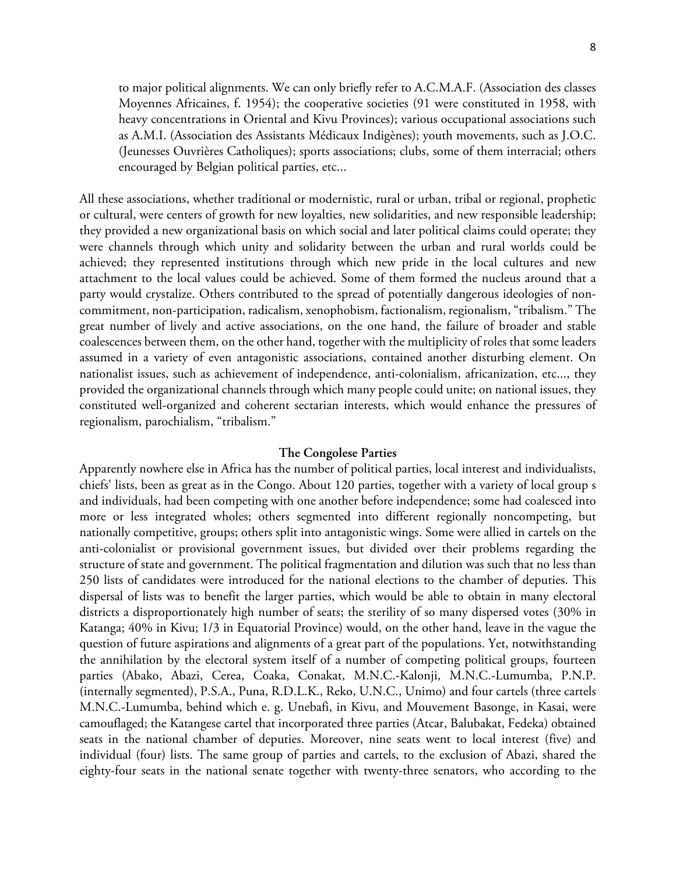to major political alignments. We can only briefly refer to A.C.M.A.F. (Association des classes Moyennes Africaines, f. 1954); the cooperative societies (91 were constituted in 1958, with heavy concentrations in Oriental and Kivu Provinces); various occupational associations such as A.M.I. (Association des Assistants Médicaux Indigènes); youth movements, such as J.O.C. (Jeunesses Ouvrières Catholiques); sports associations; clubs, some of them interracial; others encouraged by Belgian political parties, etc...

All these associations, whether traditional or modernistic, rural or urban, tribal or regional, prophetic or cultural, were centers of growth for new loyalties, new solidarities, and new responsible leadership; they provided a new organizational basis on which social and later political claims could operate; they were channels through which unity and solidarity between the urban and rural worlds could be achieved; they represented institutions through which new pride in the local cultures and new attachment to the local values could be achieved. Some of them formed the nucleus around that a party would crystalize. Others contributed to the spread of potentially dangerous ideologies of noncommitment, non-participation, radicalism, xenophobism, factionalism, regionalism, "tribalism." The great number of lively and active associations, on the one hand, the failure of broader and stable coalescences between them, on the other hand, together with the multiplicity of roles that some leaders assumed in a variety of even antagonistic associations, contained another disturbing element. On nationalist issues, such as achievement of independence, anti-colonialism, africanization, etc..., they provided the organizational channels through which many people could unite; on national issues, they constituted well-organized and coherent sectarian interests, which would enhance the pressures of regionalism, parochialism, "tribalism."

### **The Congolese Parties**

Apparently nowhere else in Africa has the number of political parties, local interest and individualists, chiefs' lists, been as great as in the Congo. About 120 parties, together with a variety of local group s and individuals, had been competing with one another before independence; some had coalesced into more or less integrated wholes; others segmented into different regionally noncompeting, but nationally competitive, groups; others split into antagonistic wings. Some were allied in cartels on the anti-colonialist or provisional government issues, but divided over their problems regarding the structure of state and government. The political fragmentation and dilution was such that no less than 250 lists of candidates were introduced for the national elections to the chamber of deputies. This dispersal of lists was to benefit the larger parties, which would be able to obtain in many electoral districts a disproportionately high number of seats; the sterility of so many dispersed votes (30% in Katanga; 40% in Kivu; 1/3 in Equatorial Province) would, on the other hand, leave in the vague the question of future aspirations and alignments of a great part of the populations. Yet, notwithstanding the annihilation by the electoral system itself of a number of competing political groups, fourteen parties (Abako, Abazi, Cerea, Coaka, Conakat, M.N.C.-Kalonji, M.N.C.-Lumumba, P.N.P. (internally segmented), P.S.A., Puna, R.D.L.K., Reko, U.N.C., Unimo) and four cartels (three cartels M.N.C.-Lumumba, behind which e. g. Unebafi, in Kivu, and Mouvement Basonge, in Kasai, were camouflaged; the Katangese cartel that incorporated three parties (Atcar, Balubakat, Fedeka) obtained seats in the national chamber of deputies. Moreover, nine seats went to local interest (five) and individual (four) lists. The same group of parties and cartels, to the exclusion of Abazi, shared the eighty-four seats in the national senate together with twenty-three senators, who according to the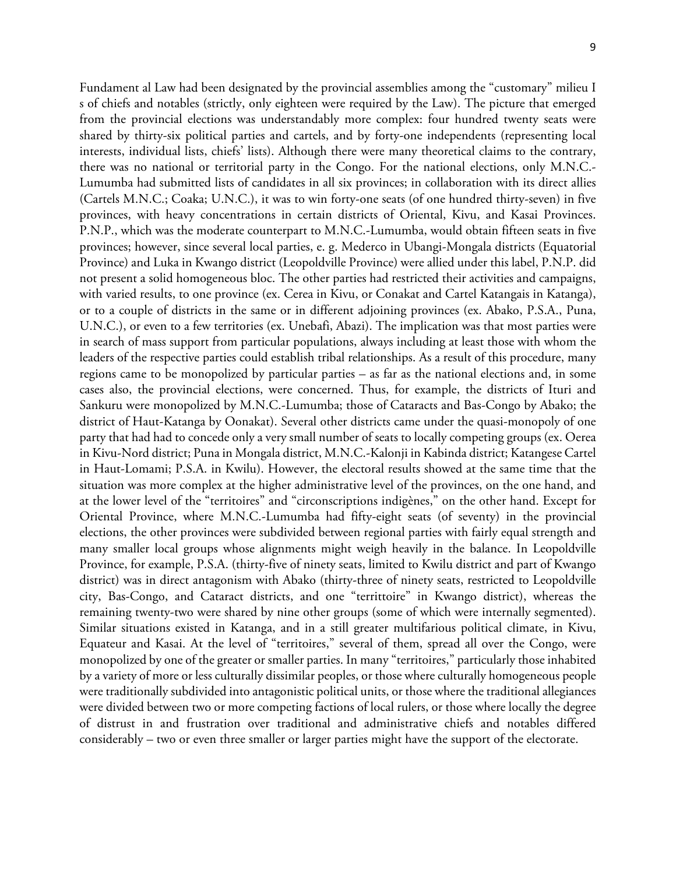Fundament al Law had been designated by the provincial assemblies among the "customary" milieu I s of chiefs and notables (strictly, only eighteen were required by the Law). The picture that emerged from the provincial elections was understandably more complex: four hundred twenty seats were shared by thirty-six political parties and cartels, and by forty-one independents (representing local interests, individual lists, chiefs' lists). Although there were many theoretical claims to the contrary, there was no national or territorial party in the Congo. For the national elections, only M.N.C.- Lumumba had submitted lists of candidates in all six provinces; in collaboration with its direct allies (Cartels M.N.C.; Coaka; U.N.C.), it was to win forty-one seats (of one hundred thirty-seven) in five provinces, with heavy concentrations in certain districts of Oriental, Kivu, and Kasai Provinces. P.N.P., which was the moderate counterpart to M.N.C.-Lumumba, would obtain fifteen seats in five provinces; however, since several local parties, e. g. Mederco in Ubangi-Mongala districts (Equatorial Province) and Luka in Kwango district (Leopoldville Province) were allied under this label, P.N.P. did not present a solid homogeneous bloc. The other parties had restricted their activities and campaigns, with varied results, to one province (ex. Cerea in Kivu, or Conakat and Cartel Katangais in Katanga), or to a couple of districts in the same or in different adjoining provinces (ex. Abako, P.S.A., Puna, U.N.C.), or even to a few territories (ex. Unebafi, Abazi). The implication was that most parties were in search of mass support from particular populations, always including at least those with whom the leaders of the respective parties could establish tribal relationships. As a result of this procedure, many regions came to be monopolized by particular parties – as far as the national elections and, in some cases also, the provincial elections, were concerned. Thus, for example, the districts of Ituri and Sankuru were monopolized by M.N.C.-Lumumba; those of Cataracts and Bas-Congo by Abako; the district of Haut-Katanga by Oonakat). Several other districts came under the quasi-monopoly of one party that had had to concede only a very small number of seats to locally competing groups (ex. Oerea in Kivu-Nord district; Puna in Mongala district, M.N.C.-Kalonji in Kabinda district; Katangese Cartel in Haut-Lomami; P.S.A. in Kwilu). However, the electoral results showed at the same time that the situation was more complex at the higher administrative level of the provinces, on the one hand, and at the lower level of the "territoires" and "circonscriptions indigènes," on the other hand. Except for Oriental Province, where M.N.C.-Lumumba had fifty-eight seats (of seventy) in the provincial elections, the other provinces were subdivided between regional parties with fairly equal strength and many smaller local groups whose alignments might weigh heavily in the balance. In Leopoldville Province, for example, P.S.A. (thirty-five of ninety seats, limited to Kwilu district and part of Kwango district) was in direct antagonism with Abako (thirty-three of ninety seats, restricted to Leopoldville city, Bas-Congo, and Cataract districts, and one "territtoire" in Kwango district), whereas the remaining twenty-two were shared by nine other groups (some of which were internally segmented). Similar situations existed in Katanga, and in a still greater multifarious political climate, in Kivu, Equateur and Kasai. At the level of "territoires," several of them, spread all over the Congo, were monopolized by one of the greater or smaller parties. In many "territoires," particularly those inhabited by a variety of more or less culturally dissimilar peoples, or those where culturally homogeneous people were traditionally subdivided into antagonistic political units, or those where the traditional allegiances were divided between two or more competing factions of local rulers, or those where locally the degree of distrust in and frustration over traditional and administrative chiefs and notables differed considerably – two or even three smaller or larger parties might have the support of the electorate.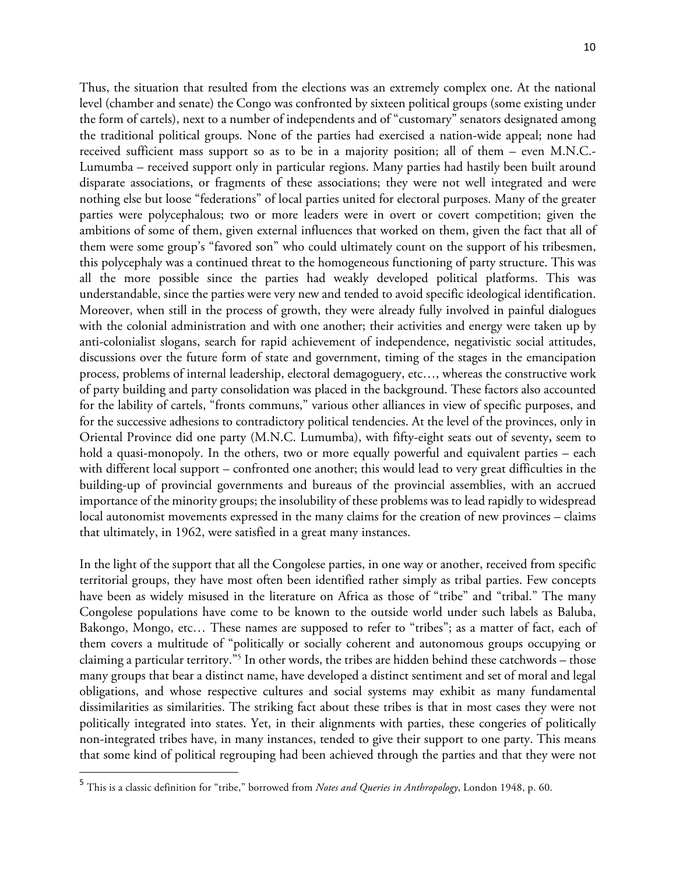Thus, the situation that resulted from the elections was an extremely complex one. At the national level (chamber and senate) the Congo was confronted by sixteen political groups (some existing under the form of cartels), next to a number of independents and of "customary" senators designated among the traditional political groups. None of the parties had exercised a nation-wide appeal; none had received sufficient mass support so as to be in a majority position; all of them – even M.N.C.- Lumumba – received support only in particular regions. Many parties had hastily been built around disparate associations, or fragments of these associations; they were not well integrated and were nothing else but loose "federations" of local parties united for electoral purposes. Many of the greater parties were polycephalous; two or more leaders were in overt or covert competition; given the ambitions of some of them, given external influences that worked on them, given the fact that all of them were some group's "favored son" who could ultimately count on the support of his tribesmen, this polycephaly was a continued threat to the homogeneous functioning of party structure. This was all the more possible since the parties had weakly developed political platforms. This was understandable, since the parties were very new and tended to avoid specific ideological identification. Moreover, when still in the process of growth, they were already fully involved in painful dialogues with the colonial administration and with one another; their activities and energy were taken up by anti-colonialist slogans, search for rapid achievement of independence, negativistic social attitudes, discussions over the future form of state and government, timing of the stages in the emancipation process, problems of internal leadership, electoral demagoguery, etc…, whereas the constructive work of party building and party consolidation was placed in the background. These factors also accounted for the lability of cartels, "fronts communs," various other alliances in view of specific purposes, and for the successive adhesions to contradictory political tendencies. At the level of the provinces, only in Oriental Province did one party (M.N.C. Lumumba), with fifty-eight seats out of seventy**,** seem to hold a quasi-monopoly. In the others, two or more equally powerful and equivalent parties – each with different local support – confronted one another; this would lead to very great difficulties in the building-up of provincial governments and bureaus of the provincial assemblies, with an accrued importance of the minority groups; the insolubility of these problems was to lead rapidly to widespread local autonomist movements expressed in the many claims for the creation of new provinces – claims that ultimately, in 1962, were satisfied in a great many instances.

In the light of the support that all the Congolese parties, in one way or another, received from specific territorial groups, they have most often been identified rather simply as tribal parties. Few concepts have been as widely misused in the literature on Africa as those of "tribe" and "tribal." The many Congolese populations have come to be known to the outside world under such labels as Baluba, Bakongo, Mongo, etc… These names are supposed to refer to "tribes"; as a matter of fact, each of them covers a multitude of "politically or socially coherent and autonomous groups occupying or claiming a particular territory."5 In other words, the tribes are hidden behind these catchwords – those many groups that bear a distinct name, have developed a distinct sentiment and set of moral and legal obligations, and whose respective cultures and social systems may exhibit as many fundamental dissimilarities as similarities. The striking fact about these tribes is that in most cases they were not politically integrated into states. Yet, in their alignments with parties, these congeries of politically non-integrated tribes have, in many instances, tended to give their support to one party. This means that some kind of political regrouping had been achieved through the parties and that they were not

 

<sup>5</sup> This is a classic definition for "tribe," borrowed from *Notes and Queries in Anthropology*, London 1948, p. 60.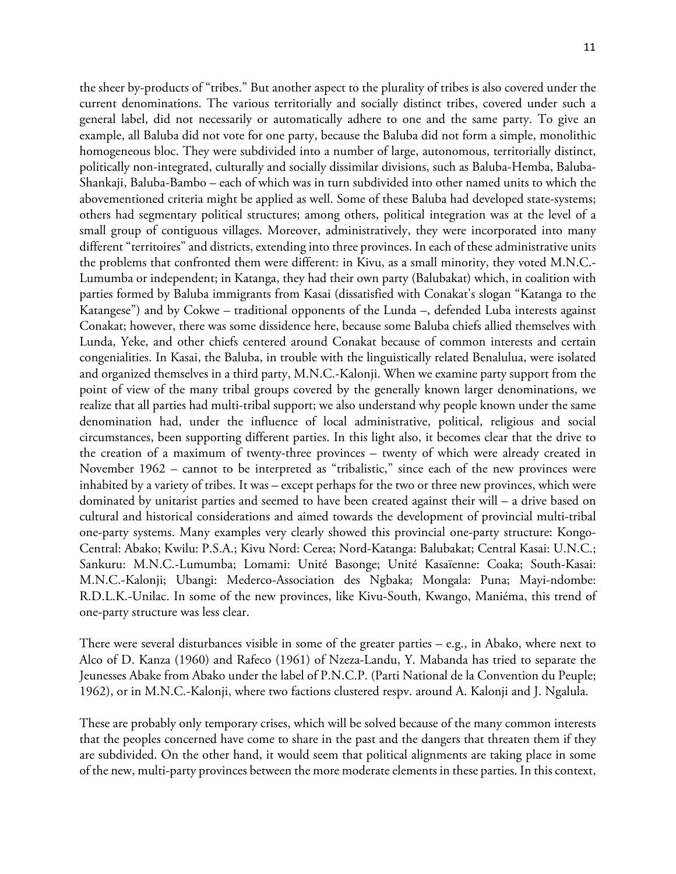the sheer by-products of "tribes." But another aspect to the plurality of tribes is also covered under the current denominations. The various territorially and socially distinct tribes, covered under such a general label, did not necessarily or automatically adhere to one and the same party. To give an example, all Baluba did not vote for one party, because the Baluba did not form a simple, monolithic homogeneous bloc. They were subdivided into a number of large, autonomous, territorially distinct, politically non-integrated, culturally and socially dissimilar divisions, such as Baluba-Hemba, Baluba-Shankaji, Baluba-Bambo – each of which was in turn subdivided into other named units to which the abovementioned criteria might be applied as well. Some of these Baluba had developed state-systems; others had segmentary political structures; among others, political integration was at the level of a small group of contiguous villages. Moreover, administratively, they were incorporated into many different "territoires" and districts, extending into three provinces. In each of these administrative units the problems that confronted them were different: in Kivu, as a small minority, they voted M.N.C.- Lumumba or independent; in Katanga, they had their own party (Balubakat) which, in coalition with parties formed by Baluba immigrants from Kasai (dissatisfied with Conakat's slogan "Katanga to the Katangese") and by Cokwe – traditional opponents of the Lunda –, defended Luba interests against Conakat; however, there was some dissidence here, because some Baluba chiefs allied themselves with Lunda, Yeke, and other chiefs centered around Conakat because of common interests and certain congenialities. In Kasai, the Baluba, in trouble with the linguistically related Benalulua, were isolated and organized themselves in a third party, M.N.C.-Kalonji. When we examine party support from the point of view of the many tribal groups covered by the generally known larger denominations, we realize that all parties had multi-tribal support; we also understand why people known under the same denomination had, under the influence of local administrative, political, religious and social circumstances, been supporting different parties. In this light also, it becomes clear that the drive to the creation of a maximum of twenty-three provinces – twenty of which were already created in November 1962 – cannot to be interpreted as "tribalistic," since each of the new provinces were inhabited by a variety of tribes. It was – except perhaps for the two or three new provinces, which were dominated by unitarist parties and seemed to have been created against their will – a drive based on cultural and historical considerations and aimed towards the development of provincial multi-tribal one-party systems. Many examples very clearly showed this provincial one-party structure: Kongo-Central: Abako; Kwilu: P.S.A.; Kivu Nord: Cerea; Nord-Katanga: Balubakat; Central Kasai: U.N.C.; Sankuru: M.N.C.-Lumumba; Lomami: Unité Basonge; Unité Kasaïenne: Coaka; South-Kasai: M.N.C.-Kalonji; Ubangi: Mederco-Association des Ngbaka; Mongala: Puna; Mayi-ndombe: R.D.L.K.-Unilac. In some of the new provinces, like Kivu-South, Kwango, Maniéma, this trend of one-party structure was less clear.

There were several disturbances visible in some of the greater parties – e.g., in Abako, where next to Alco of D. Kanza (1960) and Rafeco (1961) of Nzeza-Landu, Y. Mabanda has tried to separate the Jeunesses Abake from Abako under the label of P.N.C.P. (Parti National de la Convention du Peuple; 1962), or in M.N.C.-Kalonji, where two factions clustered respv. around A. Kalonji and J. Ngalula.

These are probably only temporary crises, which will be solved because of the many common interests that the peoples concerned have come to share in the past and the dangers that threaten them if they are subdivided. On the other hand, it would seem that political alignments are taking place in some of the new, multi-party provinces between the more moderate elements in these parties. In this context,